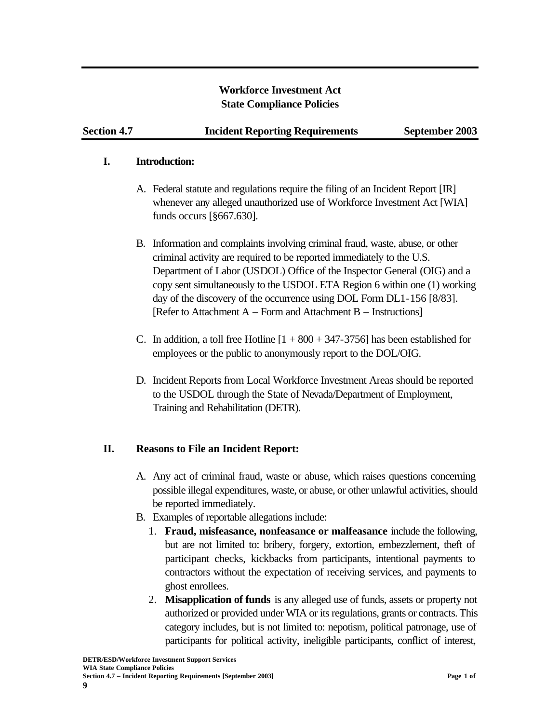### **Workforce Investment Act State Compliance Policies**

#### **I. Introduction:**

- A. Federal statute and regulations require the filing of an Incident Report [IR] whenever any alleged unauthorized use of Workforce Investment Act [WIA] funds occurs [§667.630].
- B. Information and complaints involving criminal fraud, waste, abuse, or other criminal activity are required to be reported immediately to the U.S. Department of Labor (USDOL) Office of the Inspector General (OIG) and a copy sent simultaneously to the USDOL ETA Region 6 within one (1) working day of the discovery of the occurrence using DOL Form DL1-156 [8/83]. [Refer to Attachment A – Form and Attachment B – Instructions]
- C. In addition, a toll free Hotline  $[1 + 800 + 347 3756]$  has been established for employees or the public to anonymously report to the DOL/OIG.
- D. Incident Reports from Local Workforce Investment Areas should be reported to the USDOL through the State of Nevada/Department of Employment, Training and Rehabilitation (DETR).

# **II. Reasons to File an Incident Report:**

- A. Any act of criminal fraud, waste or abuse, which raises questions concerning possible illegal expenditures, waste, or abuse, or other unlawful activities, should be reported immediately.
- B. Examples of reportable allegations include:
	- 1. **Fraud, misfeasance, nonfeasance or malfeasance** include the following, but are not limited to: bribery, forgery, extortion, embezzlement, theft of participant checks, kickbacks from participants, intentional payments to contractors without the expectation of receiving services, and payments to ghost enrollees.
	- 2. **Misapplication of funds** is any alleged use of funds, assets or property not authorized or provided under WIA or its regulations, grants or contracts. This category includes, but is not limited to: nepotism, political patronage, use of participants for political activity, ineligible participants, conflict of interest,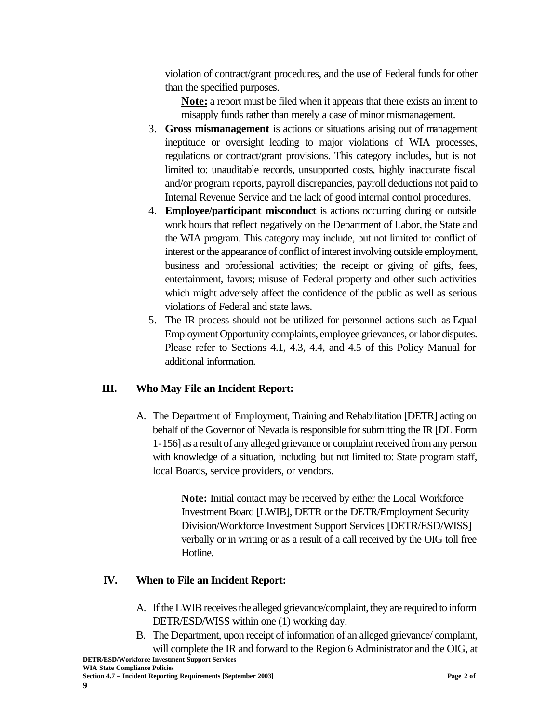violation of contract/grant procedures, and the use of Federal funds for other than the specified purposes.

**Note:** a report must be filed when it appears that there exists an intent to misapply funds rather than merely a case of minor mismanagement.

- 3. **Gross mismanagement** is actions or situations arising out of management ineptitude or oversight leading to major violations of WIA processes, regulations or contract/grant provisions. This category includes, but is not limited to: unauditable records, unsupported costs, highly inaccurate fiscal and/or program reports, payroll discrepancies, payroll deductions not paid to Internal Revenue Service and the lack of good internal control procedures.
- 4. **Employee/participant misconduct** is actions occurring during or outside work hours that reflect negatively on the Department of Labor, the State and the WIA program. This category may include, but not limited to: conflict of interest or the appearance of conflict of interest involving outside employment, business and professional activities; the receipt or giving of gifts, fees, entertainment, favors; misuse of Federal property and other such activities which might adversely affect the confidence of the public as well as serious violations of Federal and state laws.
- 5. The IR process should not be utilized for personnel actions such as Equal Employment Opportunity complaints, employee grievances, or labor disputes. Please refer to Sections 4.1, 4.3, 4.4, and 4.5 of this Policy Manual for additional information.

# **III. Who May File an Incident Report:**

A. The Department of Employment, Training and Rehabilitation [DETR] acting on behalf of the Governor of Nevada is responsible for submitting the IR [DL Form 1-156] as a result of any alleged grievance or complaint received from any person with knowledge of a situation, including but not limited to: State program staff, local Boards, service providers, or vendors.

> **Note:** Initial contact may be received by either the Local Workforce Investment Board [LWIB], DETR or the DETR/Employment Security Division/Workforce Investment Support Services [DETR/ESD/WISS] verbally or in writing or as a result of a call received by the OIG toll free Hotline.

# **IV. When to File an Incident Report:**

- A. If the LWIB receives the alleged grievance/complaint, they are required to inform DETR/ESD/WISS within one (1) working day.
- **DETR/ESD/Workforce Investment Support Services** B. The Department, upon receipt of information of an alleged grievance/ complaint, will complete the IR and forward to the Region 6 Administrator and the OIG, at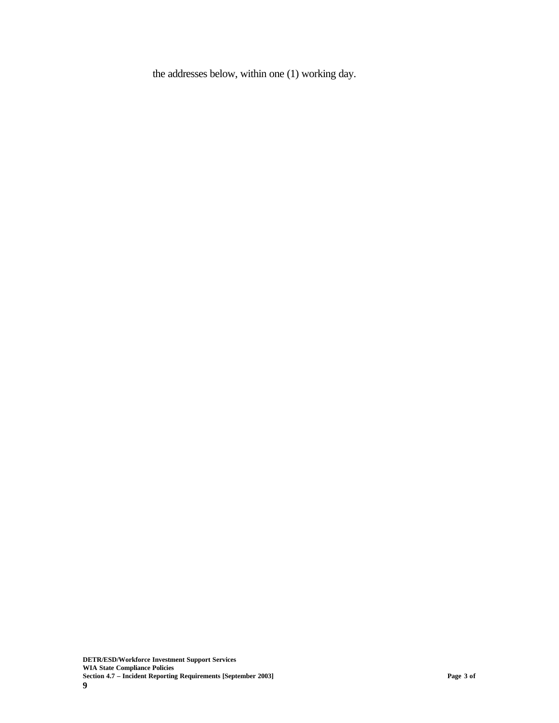the addresses below, within one (1) working day.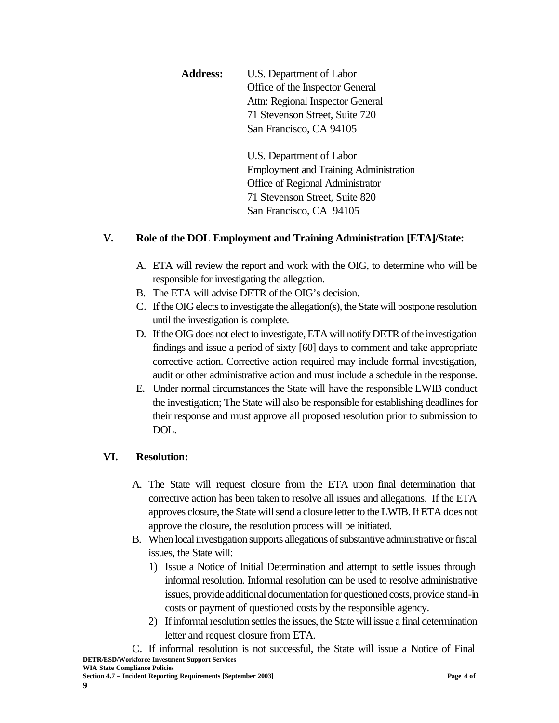| <b>Address:</b> | U.S. Department of Labor         |
|-----------------|----------------------------------|
|                 | Office of the Inspector General  |
|                 | Attn: Regional Inspector General |
|                 | 71 Stevenson Street, Suite 720   |
|                 | San Francisco, CA 94105          |
|                 |                                  |

U.S. Department of Labor Employment and Training Administration Office of Regional Administrator 71 Stevenson Street, Suite 820 San Francisco, CA 94105

# **V. Role of the DOL Employment and Training Administration [ETA]/State:**

- A. ETA will review the report and work with the OIG, to determine who will be responsible for investigating the allegation.
- B. The ETA will advise DETR of the OIG's decision.
- C. If the OIG elects to investigate the allegation(s), the State will postpone resolution until the investigation is complete.
- D. If the OIG does not elect to investigate, ETA will notify DETR of the investigation findings and issue a period of sixty [60] days to comment and take appropriate corrective action. Corrective action required may include formal investigation, audit or other administrative action and must include a schedule in the response.
- E. Under normal circumstances the State will have the responsible LWIB conduct the investigation; The State will also be responsible for establishing deadlines for their response and must approve all proposed resolution prior to submission to DOL.

# **VI. Resolution:**

- A. The State will request closure from the ETA upon final determination that corrective action has been taken to resolve all issues and allegations. If the ETA approves closure, the State will send a closure letter to the LWIB. If ETA does not approve the closure, the resolution process will be initiated.
- B. When local investigation supports allegations of substantive administrative or fiscal issues, the State will:
	- 1) Issue a Notice of Initial Determination and attempt to settle issues through informal resolution. Informal resolution can be used to resolve administrative issues, provide additional documentation for questioned costs, provide stand-in costs or payment of questioned costs by the responsible agency.
	- 2) If informal resolution settles the issues, the State will issue a final determination letter and request closure from ETA.

**DETR/ESD/Workforce Investment Support Services** C. If informal resolution is not successful, the State will issue a Notice of Final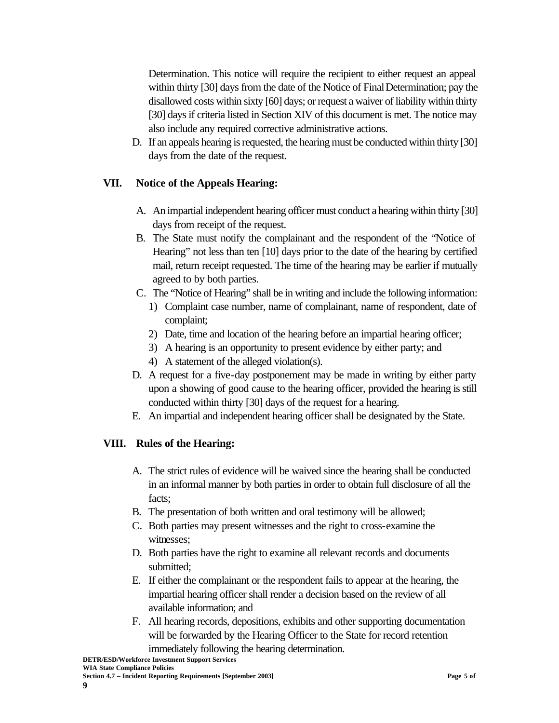Determination. This notice will require the recipient to either request an appeal within thirty [30] days from the date of the Notice of Final Determination; pay the disallowed costs within sixty [60] days; or request a waiver of liability within thirty [30] days if criteria listed in Section XIV of this document is met. The notice may also include any required corrective administrative actions.

D. If an appeals hearing is requested, the hearing must be conducted within thirty [30] days from the date of the request.

### **VII. Notice of the Appeals Hearing:**

- A. An impartial independent hearing officer must conduct a hearing within thirty [30] days from receipt of the request.
- B. The State must notify the complainant and the respondent of the "Notice of Hearing" not less than ten [10] days prior to the date of the hearing by certified mail, return receipt requested. The time of the hearing may be earlier if mutually agreed to by both parties.
- C. The "Notice of Hearing" shall be in writing and include the following information:
	- 1) Complaint case number, name of complainant, name of respondent, date of complaint;
	- 2) Date, time and location of the hearing before an impartial hearing officer;
	- 3) A hearing is an opportunity to present evidence by either party; and
	- 4) A statement of the alleged violation(s).
- D. A request for a five-day postponement may be made in writing by either party upon a showing of good cause to the hearing officer, provided the hearing is still conducted within thirty [30] days of the request for a hearing.
- E. An impartial and independent hearing officer shall be designated by the State.

### **VIII. Rules of the Hearing:**

- A. The strict rules of evidence will be waived since the hearing shall be conducted in an informal manner by both parties in order to obtain full disclosure of all the facts;
- B. The presentation of both written and oral testimony will be allowed;
- C. Both parties may present witnesses and the right to cross-examine the witnesses;
- D. Both parties have the right to examine all relevant records and documents submitted;
- E. If either the complainant or the respondent fails to appear at the hearing, the impartial hearing officer shall render a decision based on the review of all available information; and
- F. All hearing records, depositions, exhibits and other supporting documentation will be forwarded by the Hearing Officer to the State for record retention immediately following the hearing determination.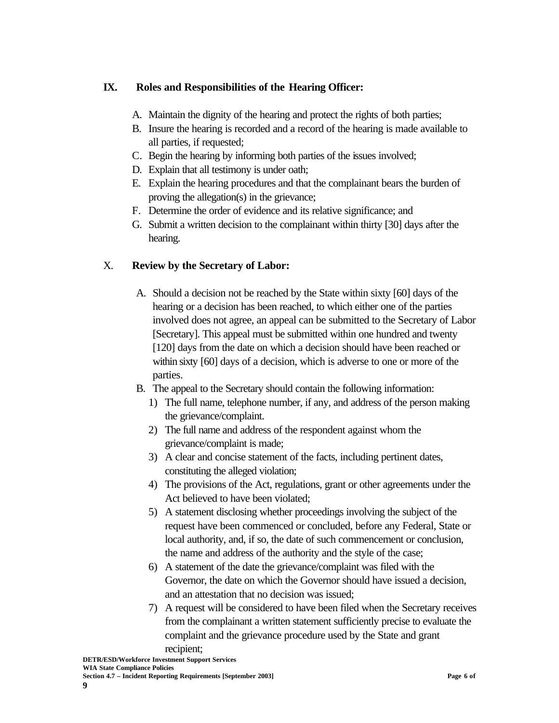### **IX. Roles and Responsibilities of the Hearing Officer:**

- A. Maintain the dignity of the hearing and protect the rights of both parties;
- B. Insure the hearing is recorded and a record of the hearing is made available to all parties, if requested;
- C. Begin the hearing by informing both parties of the issues involved;
- D. Explain that all testimony is under oath;
- E. Explain the hearing procedures and that the complainant bears the burden of proving the allegation(s) in the grievance;
- F. Determine the order of evidence and its relative significance; and
- G. Submit a written decision to the complainant within thirty [30] days after the hearing.

### X. **Review by the Secretary of Labor:**

- A. Should a decision not be reached by the State within sixty [60] days of the hearing or a decision has been reached, to which either one of the parties involved does not agree, an appeal can be submitted to the Secretary of Labor [Secretary]. This appeal must be submitted within one hundred and twenty [120] days from the date on which a decision should have been reached or within sixty [60] days of a decision, which is adverse to one or more of the parties.
- B. The appeal to the Secretary should contain the following information:
	- 1) The full name, telephone number, if any, and address of the person making the grievance/complaint.
	- 2) The full name and address of the respondent against whom the grievance/complaint is made;
	- 3) A clear and concise statement of the facts, including pertinent dates, constituting the alleged violation;
	- 4) The provisions of the Act, regulations, grant or other agreements under the Act believed to have been violated;
	- 5) A statement disclosing whether proceedings involving the subject of the request have been commenced or concluded, before any Federal, State or local authority, and, if so, the date of such commencement or conclusion, the name and address of the authority and the style of the case;
	- 6) A statement of the date the grievance/complaint was filed with the Governor, the date on which the Governor should have issued a decision, and an attestation that no decision was issued;
	- 7) A request will be considered to have been filed when the Secretary receives from the complainant a written statement sufficiently precise to evaluate the complaint and the grievance procedure used by the State and grant recipient;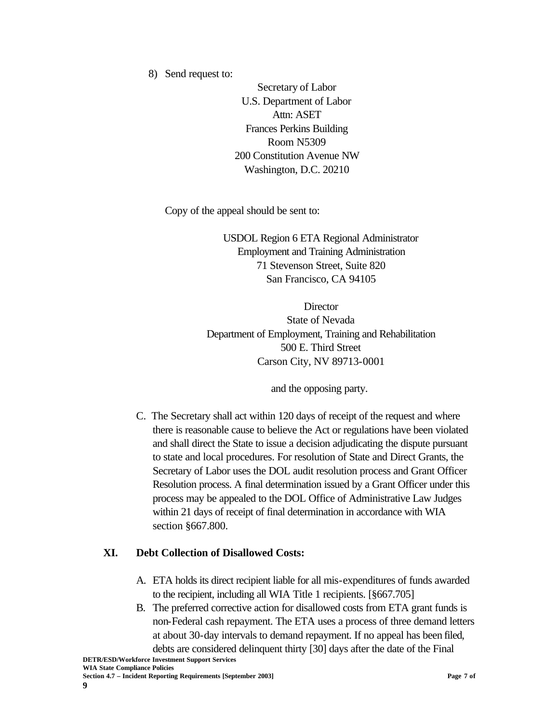8) Send request to:

Secretary of Labor U.S. Department of Labor Attn: ASET Frances Perkins Building Room N5309 200 Constitution Avenue NW Washington, D.C. 20210

Copy of the appeal should be sent to:

USDOL Region 6 ETA Regional Administrator Employment and Training Administration 71 Stevenson Street, Suite 820 San Francisco, CA 94105

**Director** State of Nevada Department of Employment, Training and Rehabilitation 500 E. Third Street Carson City, NV 89713-0001

and the opposing party.

C. The Secretary shall act within 120 days of receipt of the request and where there is reasonable cause to believe the Act or regulations have been violated and shall direct the State to issue a decision adjudicating the dispute pursuant to state and local procedures. For resolution of State and Direct Grants, the Secretary of Labor uses the DOL audit resolution process and Grant Officer Resolution process. A final determination issued by a Grant Officer under this process may be appealed to the DOL Office of Administrative Law Judges within 21 days of receipt of final determination in accordance with WIA section §667.800.

### **XI. Debt Collection of Disallowed Costs:**

- A. ETA holds its direct recipient liable for all mis-expenditures of funds awarded to the recipient, including all WIA Title 1 recipients. [§667.705]
- B. The preferred corrective action for disallowed costs from ETA grant funds is non-Federal cash repayment. The ETA uses a process of three demand letters at about 30-day intervals to demand repayment. If no appeal has been filed, debts are considered delinquent thirty [30] days after the date of the Final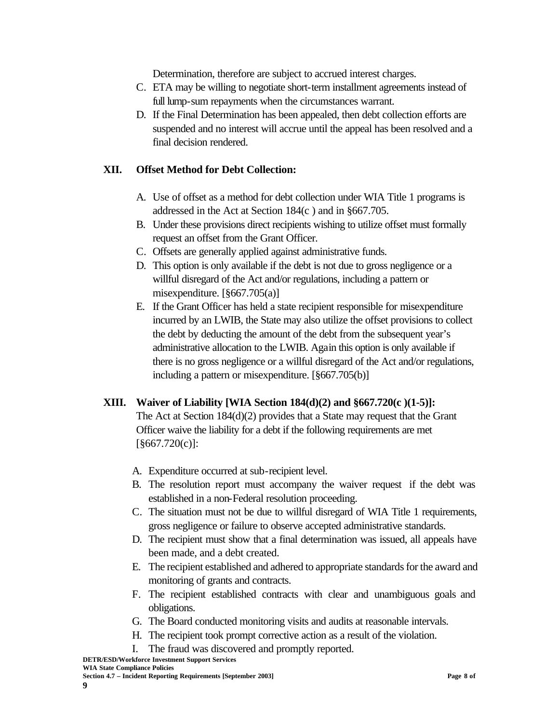Determination, therefore are subject to accrued interest charges.

- C. ETA may be willing to negotiate short-term installment agreements instead of full lump-sum repayments when the circumstances warrant.
- D. If the Final Determination has been appealed, then debt collection efforts are suspended and no interest will accrue until the appeal has been resolved and a final decision rendered.

### **XII. Offset Method for Debt Collection:**

- A. Use of offset as a method for debt collection under WIA Title 1 programs is addressed in the Act at Section 184(c ) and in §667.705.
- B. Under these provisions direct recipients wishing to utilize offset must formally request an offset from the Grant Officer.
- C. Offsets are generally applied against administrative funds.
- D. This option is only available if the debt is not due to gross negligence or a willful disregard of the Act and/or regulations, including a pattern or misexpenditure. [§667.705(a)]
- E. If the Grant Officer has held a state recipient responsible for misexpenditure incurred by an LWIB, the State may also utilize the offset provisions to collect the debt by deducting the amount of the debt from the subsequent year's administrative allocation to the LWIB. Again this option is only available if there is no gross negligence or a willful disregard of the Act and/or regulations, including a pattern or misexpenditure. [§667.705(b)]

# **XIII. Waiver of Liability [WIA Section 184(d)(2) and §667.720(c )(1-5)]:**

The Act at Section 184(d)(2) provides that a State may request that the Grant Officer waive the liability for a debt if the following requirements are met [§667.720(c)]:

- A. Expenditure occurred at sub-recipient level.
- B. The resolution report must accompany the waiver request if the debt was established in a non-Federal resolution proceeding.
- C. The situation must not be due to willful disregard of WIA Title 1 requirements, gross negligence or failure to observe accepted administrative standards.
- D. The recipient must show that a final determination was issued, all appeals have been made, and a debt created.
- E. The recipient established and adhered to appropriate standards for the award and monitoring of grants and contracts.
- F. The recipient established contracts with clear and unambiguous goals and obligations.
- G. The Board conducted monitoring visits and audits at reasonable intervals.
- H. The recipient took prompt corrective action as a result of the violation.
- I. The fraud was discovered and promptly reported.